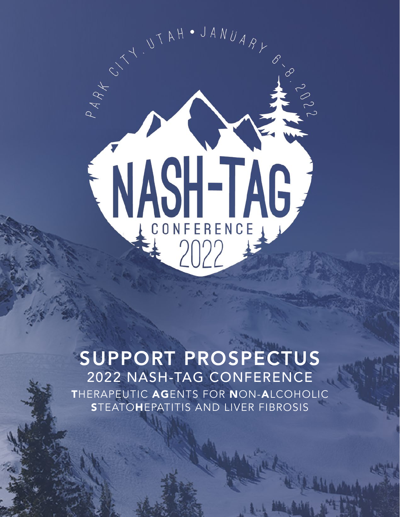

### SUPPORT PROSPECTUS 2022 NASH-TAG CONFERENCE THERAPEUTIC AGENTS FOR NON-ALCOHOLIC **STEATOHEPATITIS AND LIVER FIBROSIS**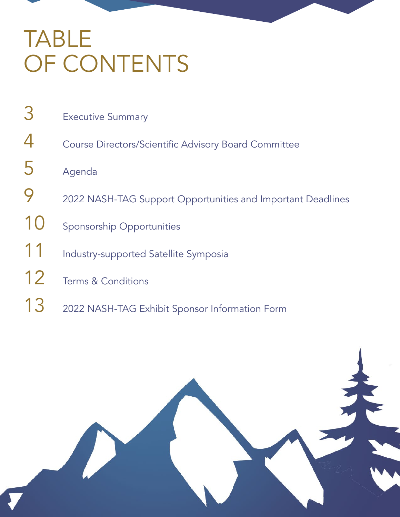# TABLE OF CONTENTS

| 3  |                                                             |
|----|-------------------------------------------------------------|
|    | <b>Executive Summary</b>                                    |
|    | Course Directors/Scientific Advisory Board Committee        |
| 5  | Agenda                                                      |
|    | 2022 NASH-TAG Support Opportunities and Important Deadlines |
| 10 | <b>Sponsorship Opportunities</b>                            |
| 11 | Industry-supported Satellite Symposia                       |
| 12 | <b>Terms &amp; Conditions</b>                               |
| 13 | 2022 NASH-TAG Exhibit Sponsor Information Form              |

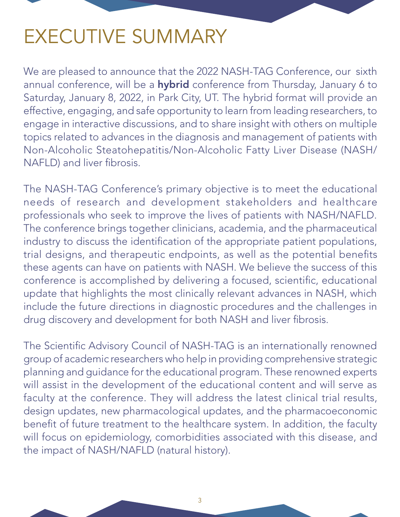## <span id="page-2-0"></span>EXECUTIVE SUMMARY

We are pleased to announce that the 2022 NASH-TAG Conference, our sixth annual conference, will be a hybrid conference from Thursday, January 6 to Saturday, January 8, 2022, in Park City, UT. The hybrid format will provide an effective, engaging, and safe opportunity to learn from leading researchers, to engage in interactive discussions, and to share insight with others on multiple topics related to advances in the diagnosis and management of patients with Non-Alcoholic Steatohepatitis/Non-Alcoholic Fatty Liver Disease (NASH/ NAFLD) and liver fibrosis.

The NASH-TAG Conference's primary objective is to meet the educational needs of research and development stakeholders and healthcare professionals who seek to improve the lives of patients with NASH/NAFLD. The conference brings together clinicians, academia, and the pharmaceutical industry to discuss the identification of the appropriate patient populations, trial designs, and therapeutic endpoints, as well as the potential benefits these agents can have on patients with NASH. We believe the success of this conference is accomplished by delivering a focused, scientific, educational update that highlights the most clinically relevant advances in NASH, which include the future directions in diagnostic procedures and the challenges in drug discovery and development for both NASH and liver fibrosis.

The Scientific Advisory Council of NASH-TAG is an internationally renowned group of academic researchers who help in providing comprehensive strategic planning and guidance for the educational program. These renowned experts will assist in the development of the educational content and will serve as faculty at the conference. They will address the latest clinical trial results, design updates, new pharmacological updates, and the pharmacoeconomic benefit of future treatment to the healthcare system. In addition, the faculty will focus on epidemiology, comorbidities associated with this disease, and the impact of NASH/NAFLD (natural history).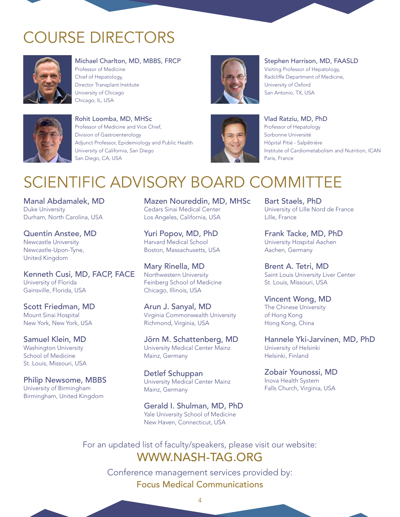### <span id="page-3-0"></span>COURSE DIRECTORS



Michael Charlton, MD, MBBS, FRCP Professor of Medicine Chief of Hepatology, Director Transplant Institute University of Chicago Chicago, IL, USA



Rohit Loomba, MD, MHSc Professor of Medicine and Vice Chief, Division of Gastroenterology Adjunct Professor, Epidemiology and Public Health University of California, San Diego San Diego, CA, USA



Stephen Harrison, MD, FAASLD

Visiting Professor of Hepatology, Radcliffe Department of Medicine, University of Oxford San Antonio, TX, USA



### Vlad Ratziu, MD, PhD Professor of Hepatology Sorbonne Université Hôpital Pitié - Salpêtrière Institute of Cardiometabolism and Nutrition, ICAN Paris, France

## SCIENTIFIC ADVISORY BOARD COMMITTEE

Manal Abdamalek, MD Duke University Durham, North Carolina, USA

Quentin Anstee, MD Newcastle University Newcastle-Upon-Tyne, United Kingdom

Kenneth Cusi, MD, FACP, FACE University of Florida Gainsville, Florida, USA

Scott Friedman, MD Mount Sinai Hospital New York, New York, USA

Samuel Klein, MD Washington University School of Medicine St. Louis, Missouri, USA

Philip Newsome, MBBS University of Birmingham Birmingham, United Kingdom

Mazen Noureddin, MD, MHSc Cedars Sinai Medical Center Los Angeles, California, USA

Yuri Popov, MD, PhD Harvard Medical School Boston, Massachusetts, USA

Mary Rinella, MD Northwestern University Feinberg School of Medicine Chicago, Illinois, USA

Arun J. Sanyal, MD Virginia Commonwealth University Richmond, Virginia, USA

Jörn M. Schattenberg, MD University Medical Center Mainz Mainz, Germany

Detlef Schuppan University Medical Center Mainz Mainz, Germany

Gerald I. Shulman, MD, PhD Yale University School of Medicine New Haven, Connecticut, USA

Bart Staels, PhD University of Lille Nord de France Lille, France

Frank Tacke, MD, PhD University Hospital Aachen Aachen, Germany

Brent A. Tetri, MD Saint Louis University Liver Center St. Louis, Missouri, USA

### Vincent Wong, MD

The Chinese University of Hong Kong Hong Kong, China

Hannele Yki-Jarvinen, MD, PhD University of Helsinki Helsinki, Finland

Zobair Younossi, MD Inova Health System Falls Church, Virginia, USA

For an updated list of faculty/speakers, please visit our website: WWW.NASH-TAG.ORG

> Conference management services provided by: Focus Medical Communications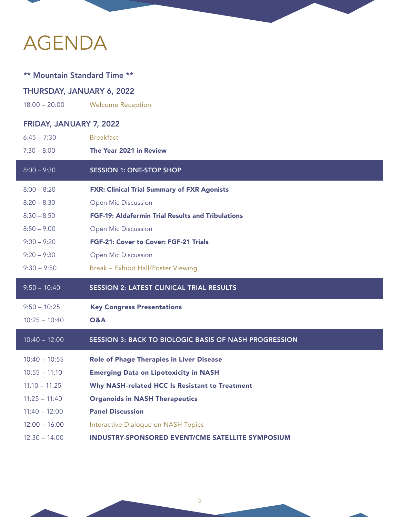# <span id="page-4-0"></span>AGENDA

| <b>** Mountain Standard Time **</b> |                                                          |  |  |  |  |
|-------------------------------------|----------------------------------------------------------|--|--|--|--|
| THURSDAY, JANUARY 6, 2022           |                                                          |  |  |  |  |
| $18:00 - 20:00$                     | <b>Welcome Reception</b>                                 |  |  |  |  |
| FRIDAY, JANUARY 7, 2022             |                                                          |  |  |  |  |
| $6:45 - 7:30$                       | <b>Breakfast</b>                                         |  |  |  |  |
| $7:30 - 8:00$                       | The Year 2021 in Review                                  |  |  |  |  |
| $8:00 - 9:30$                       | <b>SESSION 1: ONE-STOP SHOP</b>                          |  |  |  |  |
| $8:00 - 8:20$                       | <b>FXR: Clinical Trial Summary of FXR Agonists</b>       |  |  |  |  |
| $8:20 - 8:30$                       | Open Mic Discussion                                      |  |  |  |  |
| $8:30 - 8:50$                       | <b>FGF-19: Aldafermin Trial Results and Tribulations</b> |  |  |  |  |
| $8:50 - 9:00$                       | Open Mic Discussion                                      |  |  |  |  |
| $9:00 - 9:20$                       | FGF-21: Cover to Cover: FGF-21 Trials                    |  |  |  |  |
| $9:20 - 9:30$                       | Open Mic Discussion                                      |  |  |  |  |
| $9:30 - 9:50$                       | Break - Exhibit Hall/Poster Viewing                      |  |  |  |  |
| $9:50 - 10:40$                      | <b>SESSION 2: LATEST CLINICAL TRIAL RESULTS</b>          |  |  |  |  |
| $9:50 - 10:25$                      | <b>Key Congress Presentations</b>                        |  |  |  |  |
| $10:25 - 10:40$                     | <b>Q&amp;A</b>                                           |  |  |  |  |
| $10:40 - 12:00$                     | SESSION 3: BACK TO BIOLOGIC BASIS OF NASH PROGRESSION    |  |  |  |  |
|                                     |                                                          |  |  |  |  |
| $10:40 - 10:55$                     | <b>Role of Phage Therapies in Liver Disease</b>          |  |  |  |  |
| $10:55 - 11:10$                     | <b>Emerging Data on Lipotoxicity in NASH</b>             |  |  |  |  |
| $11:10 - 11:25$                     | Why NASH-related HCC Is Resistant to Treatment           |  |  |  |  |
| $11:25 - 11:40$                     | <b>Organoids in NASH Therapeutics</b>                    |  |  |  |  |
| $11:40 - 12:00$                     | <b>Panel Discussion</b>                                  |  |  |  |  |
| $12:00 - 16:00$                     | Interactive Dialogue on NASH Topics                      |  |  |  |  |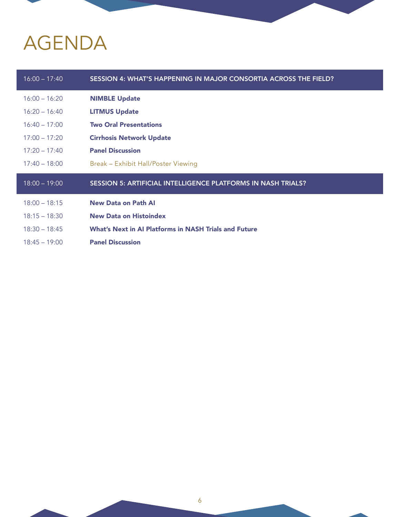# AGENDA

| $16:00 - 17:40$ | SESSION 4: WHAT'S HAPPENING IN MAJOR CONSORTIA ACROSS THE FIELD? |
|-----------------|------------------------------------------------------------------|
| $16:00 - 16:20$ | <b>NIMBLE Update</b>                                             |
| $16:20 - 16:40$ | <b>LITMUS Update</b>                                             |
| $16:40 - 17:00$ | <b>Two Oral Presentations</b>                                    |
| $17:00 - 17:20$ | <b>Cirrhosis Network Update</b>                                  |
| $17:20 - 17:40$ | <b>Panel Discussion</b>                                          |
| $17:40 - 18:00$ | Break - Exhibit Hall/Poster Viewing                              |
|                 |                                                                  |
| $18:00 - 19:00$ | SESSION 5: ARTIFICIAL INTELLIGENCE PLATFORMS IN NASH TRIALS?     |
| $18:00 - 18:15$ | <b>New Data on Path AI</b>                                       |
| $18:15 - 18:30$ | <b>New Data on Histoindex</b>                                    |
| $18:30 - 18:45$ | <b>What's Next in AI Platforms in NASH Trials and Future</b>     |
| $18:45 - 19:00$ | <b>Panel Discussion</b>                                          |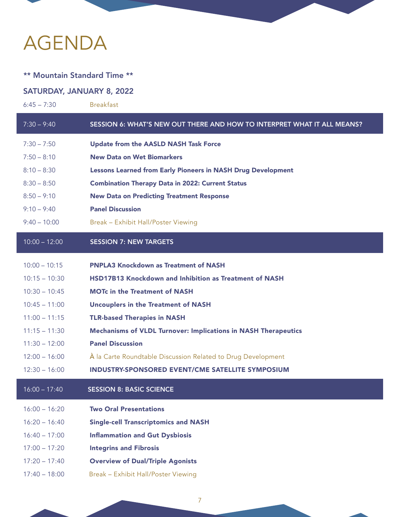## AGENDA

### \*\* Mountain Standard Time \*\*

### SATURDAY, JANUARY 8, 2022

| $6:45 - 7:30$   | <b>Breakfast</b>                                                               |
|-----------------|--------------------------------------------------------------------------------|
| $7:30 - 9:40$   | <b>SESSION 6: WHAT'S NEW OUT THERE AND HOW TO INTERPRET WHAT IT ALL MEANS?</b> |
| $7:30 - 7:50$   | <b>Update from the AASLD NASH Task Force</b>                                   |
| $7:50 - 8:10$   | <b>New Data on Wet Biomarkers</b>                                              |
| $8:10 - 8:30$   | <b>Lessons Learned from Early Pioneers in NASH Drug Development</b>            |
| $8:30 - 8:50$   | <b>Combination Therapy Data in 2022: Current Status</b>                        |
| $8:50 - 9:10$   | <b>New Data on Predicting Treatment Response</b>                               |
| $9:10 - 9:40$   | <b>Panel Discussion</b>                                                        |
| $9:40 - 10:00$  | Break - Exhibit Hall/Poster Viewing                                            |
| $10:00 - 12:00$ | <b>SESSION 7: NEW TARGETS</b>                                                  |
| $10:00 - 10:15$ | <b>PNPLA3 Knockdown as Treatment of NASH</b>                                   |
| $10:15 - 10:30$ | <b>HSD17B13 Knockdown and Inhibition as Treatment of NASH</b>                  |
| $10:30 - 10:45$ | <b>MOTC in the Treatment of NASH</b>                                           |
| $10:45 - 11:00$ | <b>Uncouplers in the Treatment of NASH</b>                                     |
| $11:00 - 11:15$ | <b>TLR-based Therapies in NASH</b>                                             |
| $11:15 - 11:30$ | <b>Mechanisms of VLDL Turnover: Implications in NASH Therapeutics</b>          |
| $11:30 - 12:00$ | <b>Panel Discussion</b>                                                        |
| $12:00 - 16:00$ | À la Carte Roundtable Discussion Related to Drug Development                   |
| $12:30 - 16:00$ | <b>INDUSTRY-SPONSORED EVENT/CME SATELLITE SYMPOSIUM</b>                        |
| $16:00 - 17:40$ | <b>SESSION 8: BASIC SCIENCE</b>                                                |
| $16:00 - 16:20$ | <b>Two Oral Presentations</b>                                                  |
| $16:20 - 16:40$ | <b>Single-cell Transcriptomics and NASH</b>                                    |
| $16:40 - 17:00$ | <b>Inflammation and Gut Dysbiosis</b>                                          |
| $17:00 - 17:20$ | <b>Integrins and Fibrosis</b>                                                  |
| $17:20 - 17:40$ | <b>Overview of Dual/Triple Agonists</b>                                        |
| $17:40 - 18:00$ | Break - Exhibit Hall/Poster Viewing                                            |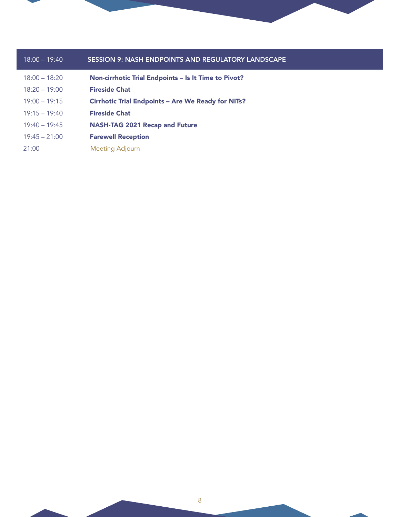

| $18:00 - 19:40$ | <b>SESSION 9: NASH ENDPOINTS AND REGULATORY LANDSCAPE</b> |
|-----------------|-----------------------------------------------------------|
| $18:00 - 18:20$ | Non-cirrhotic Trial Endpoints - Is It Time to Pivot?      |
| $18:20 - 19:00$ | <b>Fireside Chat</b>                                      |
| $19:00 - 19:15$ | <b>Cirrhotic Trial Endpoints - Are We Ready for NITs?</b> |
| $19:15 - 19:40$ | <b>Fireside Chat</b>                                      |
| $19:40 - 19:45$ | <b>NASH-TAG 2021 Recap and Future</b>                     |
| $19:45 - 21:00$ | <b>Farewell Reception</b>                                 |
| 21:00           | Meeting Adjourn                                           |
|                 |                                                           |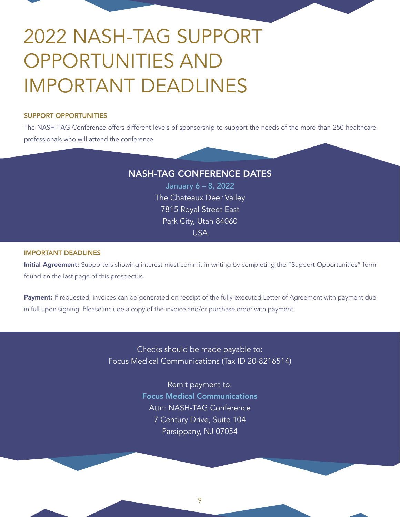# <span id="page-8-0"></span>2022 NASH-TAG SUPPORT OPPORTUNITIES AND IMPORTANT DEADLINES

### SUPPORT OPPORTUNITIES

The NASH-TAG Conference offers different levels of sponsorship to support the needs of the more than 250 healthcare professionals who will attend the conference.

### NASH-TAG CONFERENCE DATES

January 6 – 8, 2022 The Chateaux Deer Valley 7815 Royal Street East Park City, Utah 84060 USA

### IMPORTANT DEADLINES

Initial Agreement: Supporters showing interest must commit in writing by completing the "Support Opportunities" form found on the last page of this prospectus.

Payment: If requested, invoices can be generated on receipt of the fully executed Letter of Agreement with payment due in full upon signing. Please include a copy of the invoice and/or purchase order with payment.

> Checks should be made payable to: Focus Medical Communications (Tax ID 20-8216514)

> > Remit payment to: Focus Medical Communications Attn: NASH-TAG Conference 7 Century Drive, Suite 104 Parsippany, NJ 07054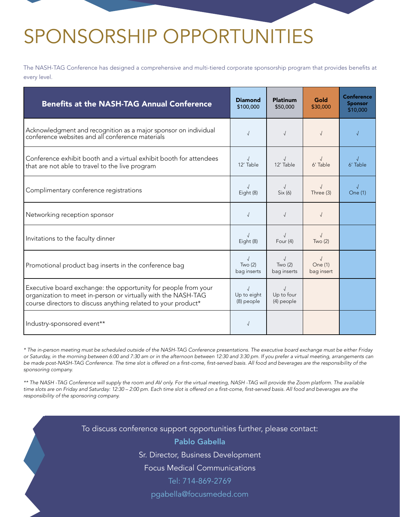# <span id="page-9-0"></span>SPONSORSHIP OPPORTUNITIES

The NASH-TAG Conference has designed a comprehensive and multi-tiered corporate sponsorship program that provides benefits at every level.

| <b>Benefits at the NASH-TAG Annual Conference</b>                                                                                                                                                | <b>Diamond</b><br>\$100,000         | <b>Platinum</b><br>\$50,000         | Gold<br>\$30,000                    | <b>Conference</b><br><b>Sponsor</b><br>\$10,000 |
|--------------------------------------------------------------------------------------------------------------------------------------------------------------------------------------------------|-------------------------------------|-------------------------------------|-------------------------------------|-------------------------------------------------|
| Acknowledgment and recognition as a major sponsor on individual<br>conference websites and all conference materials                                                                              | $\sqrt{ }$                          | $\sqrt{2}$                          | $\sqrt{2}$                          |                                                 |
| Conference exhibit booth and a virtual exhibit booth for attendees<br>that are not able to travel to the live program                                                                            | 12' Table                           | 12' Table                           | 6' Table                            | 6' Table                                        |
| Complimentary conference registrations                                                                                                                                                           | Eight (8)                           | $\sqrt{ }$<br>Six (6)               | $\sqrt{2}$<br>Three (3)             | $\sqrt{ }$<br>One (1)                           |
| Networking reception sponsor                                                                                                                                                                     | $\sqrt{2}$                          | $\sqrt{2}$                          | $\sqrt{ }$                          |                                                 |
| Invitations to the faculty dinner                                                                                                                                                                | Eight (8)                           | Four $(4)$                          | $\sqrt{ }$<br>Two(2)                |                                                 |
| Promotional product bag inserts in the conference bag                                                                                                                                            | $\sqrt{ }$<br>Two(2)<br>bag inserts | $\sqrt{ }$<br>Two(2)<br>bag inserts | $\sqrt{2}$<br>One (1)<br>bag insert |                                                 |
| Executive board exchange: the opportunity for people from your<br>organization to meet in-person or virtually with the NASH-TAG<br>course directors to discuss anything related to your product* | Up to eight<br>(8) people           | Up to four<br>(4) people            |                                     |                                                 |
| Industry-sponsored event**                                                                                                                                                                       | $\sqrt{ }$                          |                                     |                                     |                                                 |

*\* The in-person meeting must be scheduled outside of the NASH-TAG Conference presentations. The executive board exchange must be either Friday or Saturday, in the morning between 6:00 and 7:30 am or in the afternoon between 12:30 and 3:30 pm. If you prefer a virtual meeting, arrangements can*  be made post-NASH-TAG Conference. The time slot is offered on a first-come, first-served basis. All food and beverages are the responsibility of the *sponsoring company.*

*\*\* The NASH -TAG Conference will supply the room and AV only. For the virtual meeting, NASH -TAG will provide the Zoom platform. The available*  time slots are on Friday and Saturday: 12:30 – 2:00 pm. Each time slot is offered on a first-come, first-served basis. All food and beverages are the *responsibility of the sponsoring company.*

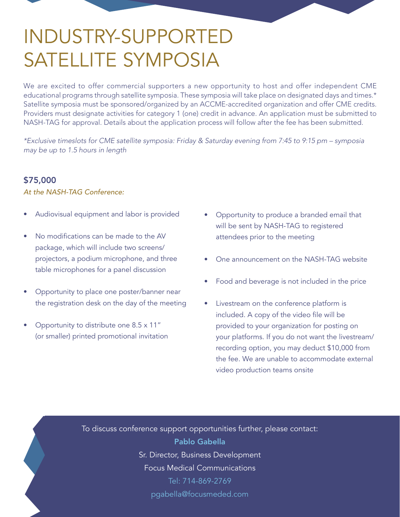# <span id="page-10-0"></span>INDUSTRY-SUPPORTED SATELLITE SYMPOSIA

We are excited to offer commercial supporters a new opportunity to host and offer independent CME educational programs through satellite symposia. These symposia will take place on designated days and times.\* Satellite symposia must be sponsored/organized by an ACCME-accredited organization and offer CME credits. Providers must designate activities for category 1 (one) credit in advance. An application must be submitted to NASH-TAG for approval. Details about the application process will follow after the fee has been submitted.

*\*Exclusive timeslots for CME satellite symposia: Friday & Saturday evening from 7:45 to 9:15 pm – symposia may be up to 1.5 hours in length*

### \$75,000

*At the NASH-TAG Conference:*

- Audiovisual equipment and labor is provided
- No modifications can be made to the AV package, which will include two screens/ projectors, a podium microphone, and three table microphones for a panel discussion
- Opportunity to place one poster/banner near the registration desk on the day of the meeting
- Opportunity to distribute one 8.5 x 11" (or smaller) printed promotional invitation
- Opportunity to produce a branded email that will be sent by NASH-TAG to registered attendees prior to the meeting
- One announcement on the NASH-TAG website
- Food and beverage is not included in the price
- Livestream on the conference platform is included. A copy of the video file will be provided to your organization for posting on your platforms. If you do not want the livestream/ recording option, you may deduct \$10,000 from the fee. We are unable to accommodate external video production teams onsite

To discuss conference support opportunities further, please contact: Pablo Gabella Sr. Director, Business Development Focus Medical Communications Tel: 714-869-2769 pgabella@focusmeded.com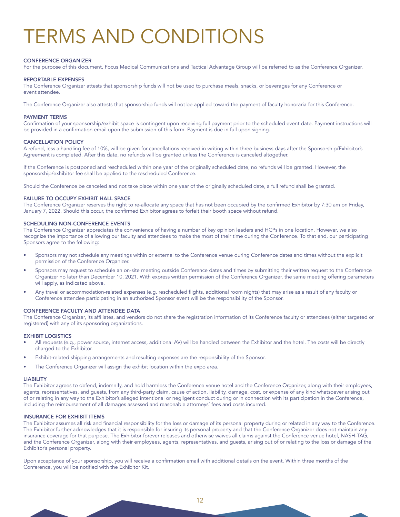# <span id="page-11-0"></span>TERMS AND CONDITIONS

#### CONFERENCE ORGANIZER

For the purpose of this document, Focus Medical Communications and Tactical Advantage Group will be referred to as the Conference Organizer.

#### REPORTABLE EXPENSES

The Conference Organizer attests that sponsorship funds will not be used to purchase meals, snacks, or beverages for any Conference or event attendee.

The Conference Organizer also attests that sponsorship funds will not be applied toward the payment of faculty honoraria for this Conference.

#### PAYMENT TERMS

Confirmation of your sponsorship/exhibit space is contingent upon receiving full payment prior to the scheduled event date. Payment instructions will be provided in a confirmation email upon the submission of this form. Payment is due in full upon signing.

#### CANCELLATION POLICY

A refund, less a handling fee of 10%, will be given for cancellations received in writing within three business days after the Sponsorship/Exhibitor's Agreement is completed. After this date, no refunds will be granted unless the Conference is canceled altogether.

If the Conference is postponed and rescheduled within one year of the originally scheduled date, no refunds will be granted. However, the sponsorship/exhibitor fee shall be applied to the rescheduled Conference.

Should the Conference be canceled and not take place within one year of the originally scheduled date, a full refund shall be granted.

### FAILURE TO OCCUPY EXHIBIT HALL SPACE

The Conference Organizer reserves the right to re-allocate any space that has not been occupied by the confirmed Exhibitor by 7:30 am on Friday, January 7, 2022. Should this occur, the confirmed Exhibitor agrees to forfeit their booth space without refund.

#### SCHEDULING NON-CONFERENCE EVENTS

The Conference Organizer appreciates the convenience of having a number of key opinion leaders and HCPs in one location. However, we also recognize the importance of allowing our faculty and attendees to make the most of their time during the Conference. To that end, our participating Sponsors agree to the following:

- Sponsors may not schedule any meetings within or external to the Conference venue during Conference dates and times without the explicit permission of the Conference Organizer.
- Sponsors may request to schedule an on-site meeting outside Conference dates and times by submitting their written request to the Conference Organizer no later than December 10, 2021. With express written permission of the Conference Organizer, the same meeting offering parameters will apply, as indicated above.
- Any travel or accommodation-related expenses (e.g. rescheduled flights, additional room nights) that may arise as a result of any faculty or Conference attendee participating in an authorized Sponsor event will be the responsibility of the Sponsor.

#### CONFERENCE FACULTY AND ATTENDEE DATA

The Conference Organizer, its affiliates, and vendors do not share the registration information of its Conference faculty or attendees (either targeted or registered) with any of its sponsoring organizations.

#### EXHIBIT LOGISTICS

- All requests (e.g., power source, internet access, additional AV) will be handled between the Exhibitor and the hotel. The costs will be directly charged to the Exhibitor.
- Exhibit-related shipping arrangements and resulting expenses are the responsibility of the Sponsor.
- The Conference Organizer will assign the exhibit location within the expo area.

#### LIABILITY

The Exhibitor agrees to defend, indemnify, and hold harmless the Conference venue hotel and the Conference Organizer, along with their employees, agents, representatives, and guests, from any third-party claim, cause of action, liability, damage, cost, or expense of any kind whatsoever arising out of or relating in any way to the Exhibitor's alleged intentional or negligent conduct during or in connection with its participation in the Conference, including the reimbursement of all damages assessed and reasonable attorneys' fees and costs incurred.

#### INSURANCE FOR EXHIBIT ITEMS

The Exhibitor assumes all risk and financial responsibility for the loss or damage of its personal property during or related in any way to the Conference. The Exhibitor further acknowledges that it is responsible for insuring its personal property and that the Conference Organizer does not maintain any insurance coverage for that purpose. The Exhibitor forever releases and otherwise waives all claims against the Conference venue hotel, NASH-TAG, and the Conference Organizer, along with their employees, agents, representatives, and guests, arising out of or relating to the loss or damage of the Exhibitor's personal property.

Upon acceptance of your sponsorship, you will receive a confirmation email with additional details on the event. Within three months of the Conference, you will be notified with the Exhibitor Kit.

12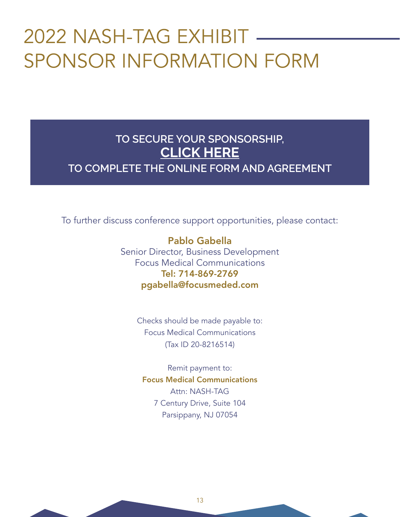# <span id="page-12-0"></span>2022 NASH-TAG EXHIBIT SPONSOR INFORMATION FORM

### **TO SECURE YOUR SPONSORSHIP, CLICK HERE [TO COMPLETE THE ONLINE FORM AND AGREEMENT](https://www.nash-tag.org/conference-prospectus)**

To further discuss conference support opportunities, please contact:

Pablo Gabella Senior Director, Business Development Focus Medical Communications Tel: 714-869-2769 pgabella@focusmeded.com

> Checks should be made payable to: Focus Medical Communications (Tax ID 20-8216514)

Remit payment to: Focus Medical Communications Attn: NASH-TAG 7 Century Drive, Suite 104 Parsippany, NJ 07054